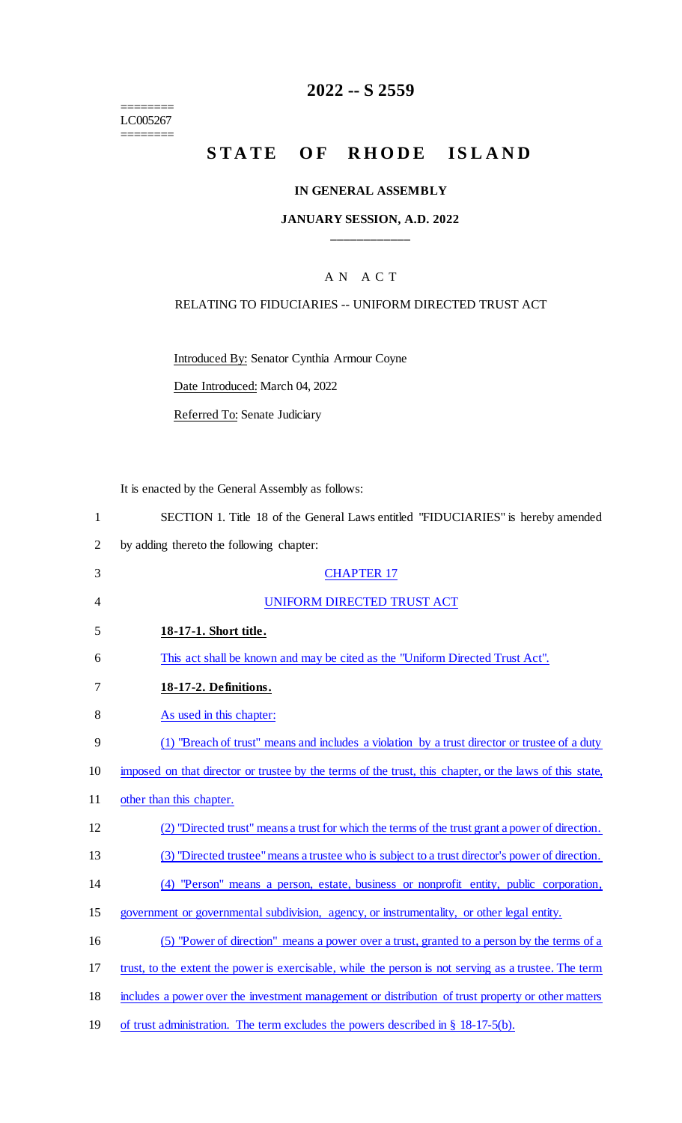======== LC005267

 $=$ 

# **2022 -- S 2559**

# **STATE OF RHODE ISLAND**

### **IN GENERAL ASSEMBLY**

### **JANUARY SESSION, A.D. 2022 \_\_\_\_\_\_\_\_\_\_\_\_**

## A N A C T

### RELATING TO FIDUCIARIES -- UNIFORM DIRECTED TRUST ACT

Introduced By: Senator Cynthia Armour Coyne

Date Introduced: March 04, 2022

Referred To: Senate Judiciary

It is enacted by the General Assembly as follows:

1 SECTION 1. Title 18 of the General Laws entitled "FIDUCIARIES" is hereby amended

2 by adding thereto the following chapter:

| 3  | <b>CHAPTER 17</b>                                                                                       |
|----|---------------------------------------------------------------------------------------------------------|
| 4  | UNIFORM DIRECTED TRUST ACT                                                                              |
| 5  | 18-17-1. Short title.                                                                                   |
| 6  | This act shall be known and may be cited as the "Uniform Directed Trust Act".                           |
| 7  | 18-17-2. Definitions.                                                                                   |
| 8  | As used in this chapter:                                                                                |
| 9  | (1) "Breach of trust" means and includes a violation by a trust director or trustee of a duty           |
| 10 | imposed on that director or trustee by the terms of the trust, this chapter, or the laws of this state, |
| 11 | other than this chapter.                                                                                |
| 12 | (2) "Directed trust" means a trust for which the terms of the trust grant a power of direction.         |
| 13 | (3) "Directed trustee" means a trustee who is subject to a trust director's power of direction.         |
| 14 | (4) "Person" means a person, estate, business or nonprofit entity, public corporation,                  |
| 15 | government or governmental subdivision, agency, or instrumentality, or other legal entity.              |
| 16 | (5) "Power of direction" means a power over a trust, granted to a person by the terms of a              |
| 17 | trust, to the extent the power is exercisable, while the person is not serving as a trustee. The term   |
| 18 | includes a power over the investment management or distribution of trust property or other matters      |
| 19 | of trust administration. The term excludes the powers described in $\S$ 18-17-5(b).                     |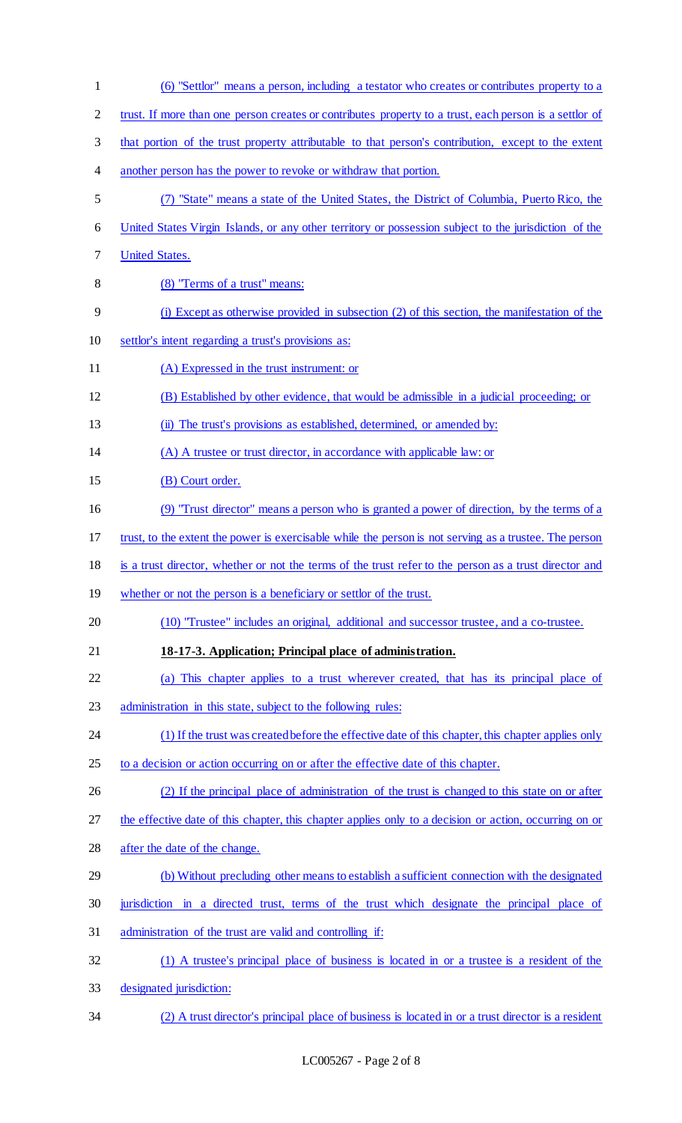| $\mathbf{1}$   | (6) "Settlor" means a person, including a testator who creates or contributes property to a            |
|----------------|--------------------------------------------------------------------------------------------------------|
| $\overline{2}$ | trust. If more than one person creates or contributes property to a trust, each person is a settlor of |
| 3              | that portion of the trust property attributable to that person's contribution, except to the extent    |
| $\overline{4}$ | another person has the power to revoke or withdraw that portion.                                       |
| $\mathfrak{S}$ | (7) "State" means a state of the United States, the District of Columbia, Puerto Rico, the             |
| 6              | United States Virgin Islands, or any other territory or possession subject to the jurisdiction of the  |
| $\tau$         | <b>United States.</b>                                                                                  |
| 8              | (8) "Terms of a trust" means:                                                                          |
| 9              | (i) Except as otherwise provided in subsection (2) of this section, the manifestation of the           |
| 10             | settlor's intent regarding a trust's provisions as:                                                    |
| 11             | (A) Expressed in the trust instrument: or                                                              |
| 12             | (B) Established by other evidence, that would be admissible in a judicial proceeding; or               |
| 13             | (ii) The trust's provisions as established, determined, or amended by:                                 |
| 14             | (A) A trustee or trust director, in accordance with applicable law: or                                 |
| 15             | (B) Court order.                                                                                       |
| 16             | (9) "Trust director" means a person who is granted a power of direction, by the terms of a             |
| 17             | trust, to the extent the power is exercisable while the person is not serving as a trustee. The person |
| 18             | is a trust director, whether or not the terms of the trust refer to the person as a trust director and |
| 19             | whether or not the person is a beneficiary or settlor of the trust.                                    |
| 20             | (10) "Trustee" includes an original, additional and successor trustee, and a co-trustee.               |
| 21             | 18-17-3. Application; Principal place of administration.                                               |
| 22             | (a) This chapter applies to a trust wherever created, that has its principal place of                  |
| 23             | administration in this state, subject to the following rules:                                          |
| 24             | (1) If the trust was created before the effective date of this chapter, this chapter applies only      |
| 25             | to a decision or action occurring on or after the effective date of this chapter.                      |
| 26             | (2) If the principal place of administration of the trust is changed to this state on or after         |
| 27             | the effective date of this chapter, this chapter applies only to a decision or action, occurring on or |
| 28             | after the date of the change.                                                                          |
| 29             | (b) Without precluding other means to establish a sufficient connection with the designated            |
| 30             | jurisdiction in a directed trust, terms of the trust which designate the principal place of            |
| 31             | administration of the trust are valid and controlling if:                                              |
| 32             | (1) A trustee's principal place of business is located in or a trustee is a resident of the            |
| 33             | designated jurisdiction:                                                                               |
| 34             | (2) A trust director's principal place of business is located in or a trust director is a resident     |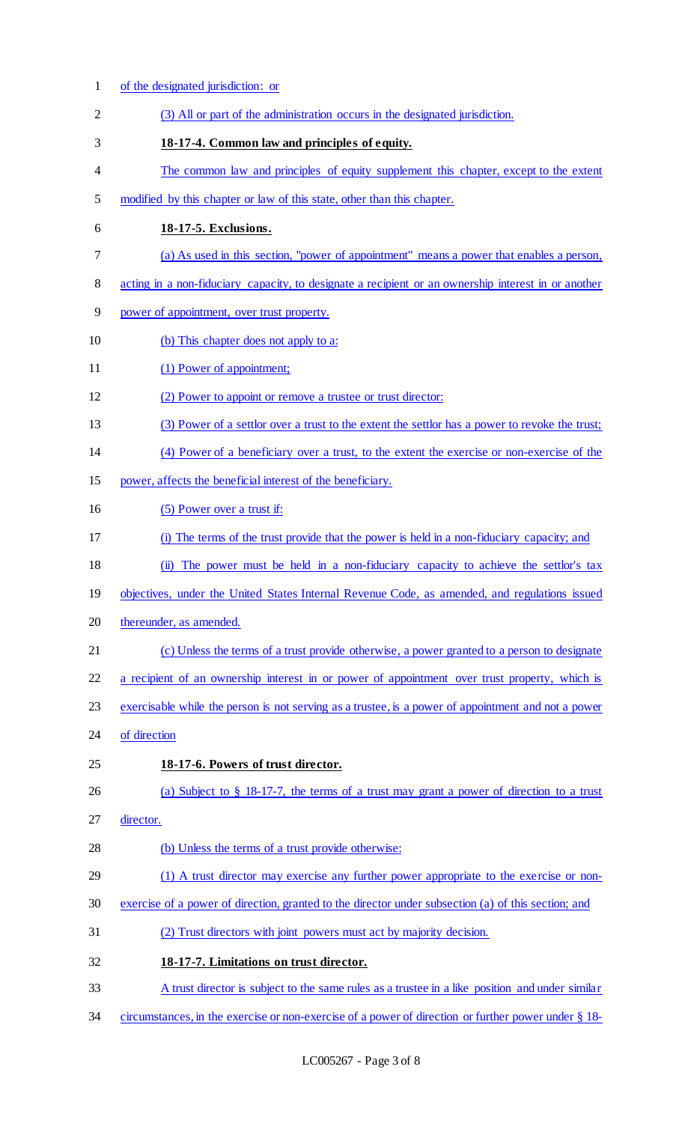of the designated jurisdiction: or (3) All or part of the administration occurs in the designated jurisdiction. **18-17-4. Common law and principles of equity.**  4 The common law and principles of equity supplement this chapter, except to the extent modified by this chapter or law of this state, other than this chapter. **18-17-5. Exclusions.**  (a) As used in this section, "power of appointment'' means a power that enables a person, acting in a non-fiduciary capacity, to designate a recipient or an ownership interest in or another power of appointment, over trust property. (b) This chapter does not apply to a: 11 (1) Power of appointment; 12 (2) Power to appoint or remove a trustee or trust director: (3) Power of a settlor over a trust to the extent the settlor has a power to revoke the trust; (4) Power of a beneficiary over a trust, to the extent the exercise or non-exercise of the power, affects the beneficial interest of the beneficiary. (5) Power over a trust if: (i) The terms of the trust provide that the power is held in a non-fiduciary capacity; and (ii) The power must be held in a non-fiduciary capacity to achieve the settlor's tax objectives, under the United States Internal Revenue Code, as amended, and regulations issued thereunder, as amended. (c) Unless the terms of a trust provide otherwise, a power granted to a person to designate a recipient of an ownership interest in or power of appointment over trust property, which is exercisable while the person is not serving as a trustee, is a power of appointment and not a power of direction **18-17-6. Powers of trust director.**  (a) Subject to § 18-17-7, the terms of a trust may grant a power of direction to a trust director. (b) Unless the terms of a trust provide otherwise: (1) A trust director may exercise any further power appropriate to the exercise or non- exercise of a power of direction, granted to the director under subsection (a) of this section; and (2) Trust directors with joint powers must act by majority decision. **18-17-7. Limitations on trust director.**  33 A trust director is subject to the same rules as a trustee in a like position and under similar circumstances, in the exercise or non-exercise of a power of direction or further power under § 18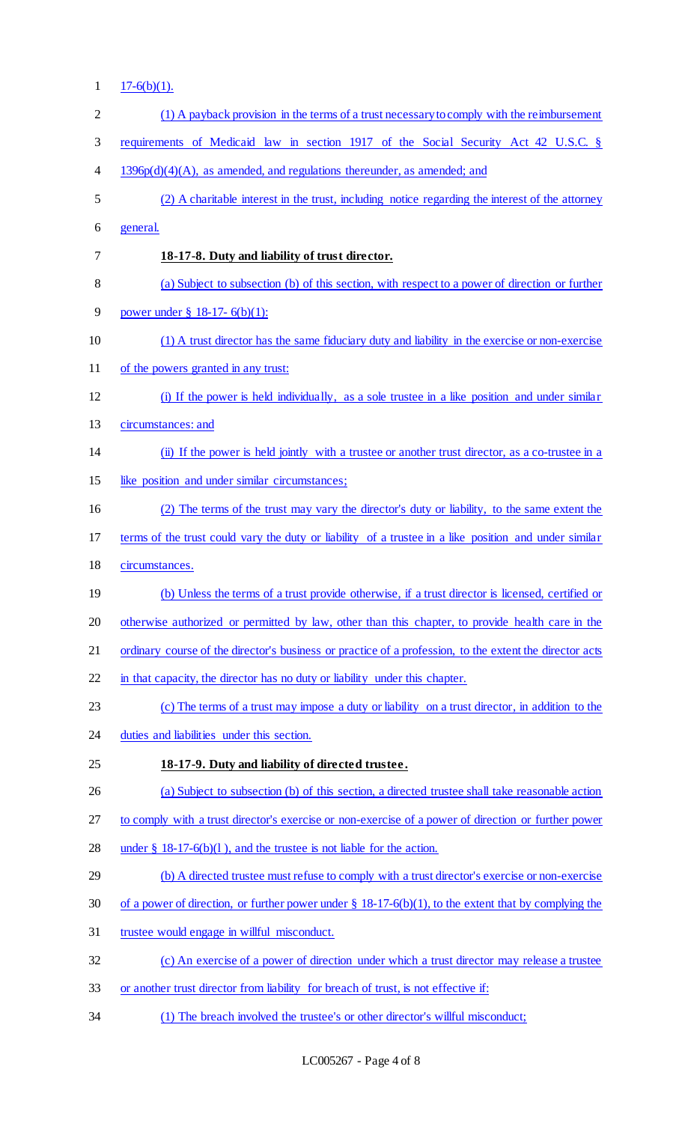1  $17-6(b)(1)$ .

| $\mathbf{2}$   | (1) A payback provision in the terms of a trust necessary to comply with the reimbursement               |
|----------------|----------------------------------------------------------------------------------------------------------|
| 3              | requirements of Medicaid law in section 1917 of the Social Security Act 42 U.S.C. §                      |
| $\overline{4}$ | $1396p(d)(4)(A)$ , as amended, and regulations thereunder, as amended; and                               |
| 5              | (2) A charitable interest in the trust, including notice regarding the interest of the attorney          |
| 6              | general.                                                                                                 |
| 7              | 18-17-8. Duty and liability of trust director.                                                           |
| 8              | (a) Subject to subsection (b) of this section, with respect to a power of direction or further           |
| 9              | power under $\S$ 18-17-6(b)(1):                                                                          |
| 10             | (1) A trust director has the same fiduciary duty and liability in the exercise or non-exercise           |
| 11             | of the powers granted in any trust:                                                                      |
| 12             | (i) If the power is held individually, as a sole trustee in a like position and under similar            |
| 13             | circumstances: and                                                                                       |
| 14             | (ii) If the power is held jointly with a trustee or another trust director, as a co-trustee in a         |
| 15             | like position and under similar circumstances;                                                           |
| 16             | (2) The terms of the trust may vary the director's duty or liability, to the same extent the             |
| 17             | terms of the trust could vary the duty or liability of a trustee in a like position and under similar    |
| 18             | circumstances.                                                                                           |
| 19             | (b) Unless the terms of a trust provide otherwise, if a trust director is licensed, certified or         |
| 20             | otherwise authorized or permitted by law, other than this chapter, to provide health care in the         |
| 21             | ordinary course of the director's business or practice of a profession, to the extent the director acts  |
| 22             | in that capacity, the director has no duty or liability under this chapter.                              |
| 23             | (c) The terms of a trust may impose a duty or liability on a trust director, in addition to the          |
| 24             | duties and liabilities under this section.                                                               |
| 25             | 18-17-9. Duty and liability of directed trustee.                                                         |
| 26             | (a) Subject to subsection (b) of this section, a directed trustee shall take reasonable action           |
| 27             | to comply with a trust director's exercise or non-exercise of a power of direction or further power      |
| 28             | under $\S$ 18-17-6(b)(1), and the trustee is not liable for the action.                                  |
| 29             | (b) A directed trustee must refuse to comply with a trust director's exercise or non-exercise            |
| 30             | of a power of direction, or further power under $\S 18-17-6(b)(1)$ , to the extent that by complying the |
| 31             | trustee would engage in willful misconduct.                                                              |
| 32             | (c) An exercise of a power of direction under which a trust director may release a trustee               |
| 33             | or another trust director from liability for breach of trust, is not effective if:                       |
| 34             | (1) The breach involved the trustee's or other director's willful misconduct;                            |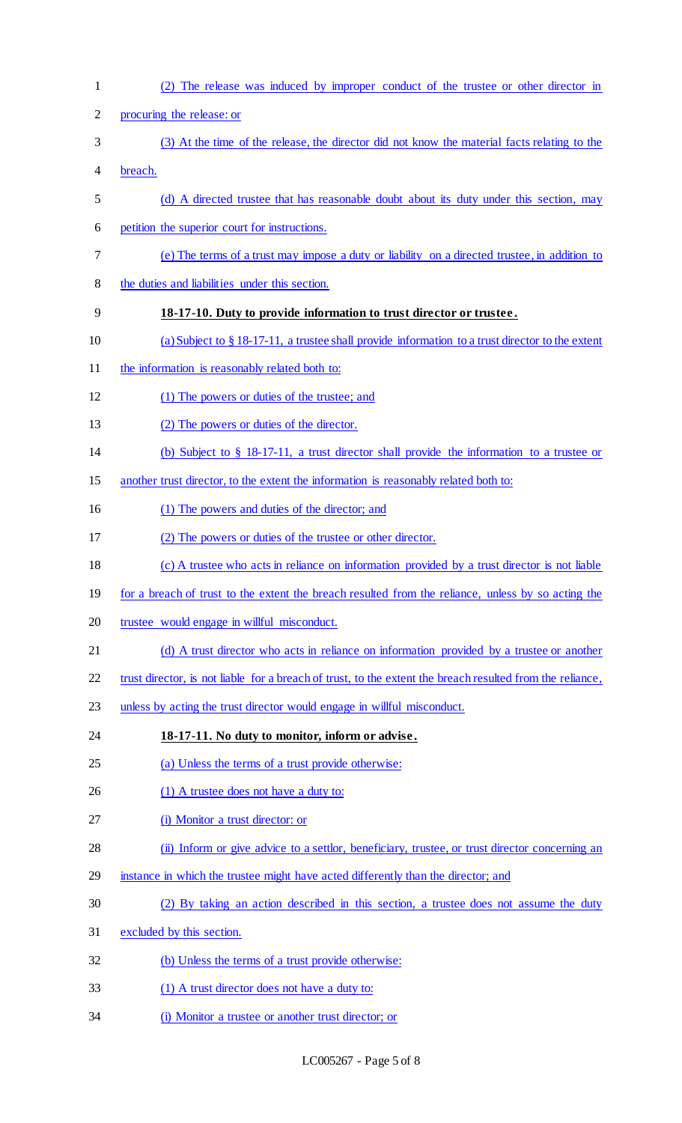| $\mathbf{1}$   | (2) The release was induced by improper conduct of the trustee or other director in                       |
|----------------|-----------------------------------------------------------------------------------------------------------|
| $\overline{2}$ | procuring the release: or                                                                                 |
| 3              | (3) At the time of the release, the director did not know the material facts relating to the              |
| 4              | breach.                                                                                                   |
| 5              | (d) A directed trustee that has reasonable doubt about its duty under this section, may                   |
| 6              | petition the superior court for instructions.                                                             |
| 7              | (e) The terms of a trust may impose a duty or liability on a directed trustee, in addition to             |
| 8              | the duties and liabilities under this section.                                                            |
| 9              | 18-17-10. Duty to provide information to trust director or trustee.                                       |
| 10             | (a) Subject to $\S$ 18-17-11, a trustee shall provide information to a trust director to the extent       |
| 11             | the information is reasonably related both to:                                                            |
| 12             | (1) The powers or duties of the trustee; and                                                              |
| 13             | (2) The powers or duties of the director.                                                                 |
| 14             | (b) Subject to $\S$ 18-17-11, a trust director shall provide the information to a trustee or              |
| 15             | another trust director, to the extent the information is reasonably related both to:                      |
| 16             | (1) The powers and duties of the director; and                                                            |
| 17             | (2) The powers or duties of the trustee or other director.                                                |
| 18             | (c) A trustee who acts in reliance on information provided by a trust director is not liable              |
| 19             | for a breach of trust to the extent the breach resulted from the reliance, unless by so acting the        |
| 20             | trustee would engage in willful misconduct.                                                               |
| 21             | (d) A trust director who acts in reliance on information provided by a trustee or another                 |
| 22             | trust director, is not liable for a breach of trust, to the extent the breach resulted from the reliance, |
| 23             | unless by acting the trust director would engage in willful misconduct.                                   |
| 24             | 18-17-11. No duty to monitor, inform or advise.                                                           |
| 25             | (a) Unless the terms of a trust provide otherwise:                                                        |
| 26             | (1) A trustee does not have a duty to:                                                                    |
| 27             | (i) Monitor a trust director: or                                                                          |
| 28             | (ii) Inform or give advice to a settlor, beneficiary, trustee, or trust director concerning an            |
| 29             | instance in which the trustee might have acted differently than the director; and                         |
| 30             | (2) By taking an action described in this section, a trustee does not assume the duty                     |
| 31             | excluded by this section.                                                                                 |
| 32             | (b) Unless the terms of a trust provide otherwise:                                                        |
| 33             | (1) A trust director does not have a duty to:                                                             |
| 34             | (i) Monitor a trustee or another trust director; or                                                       |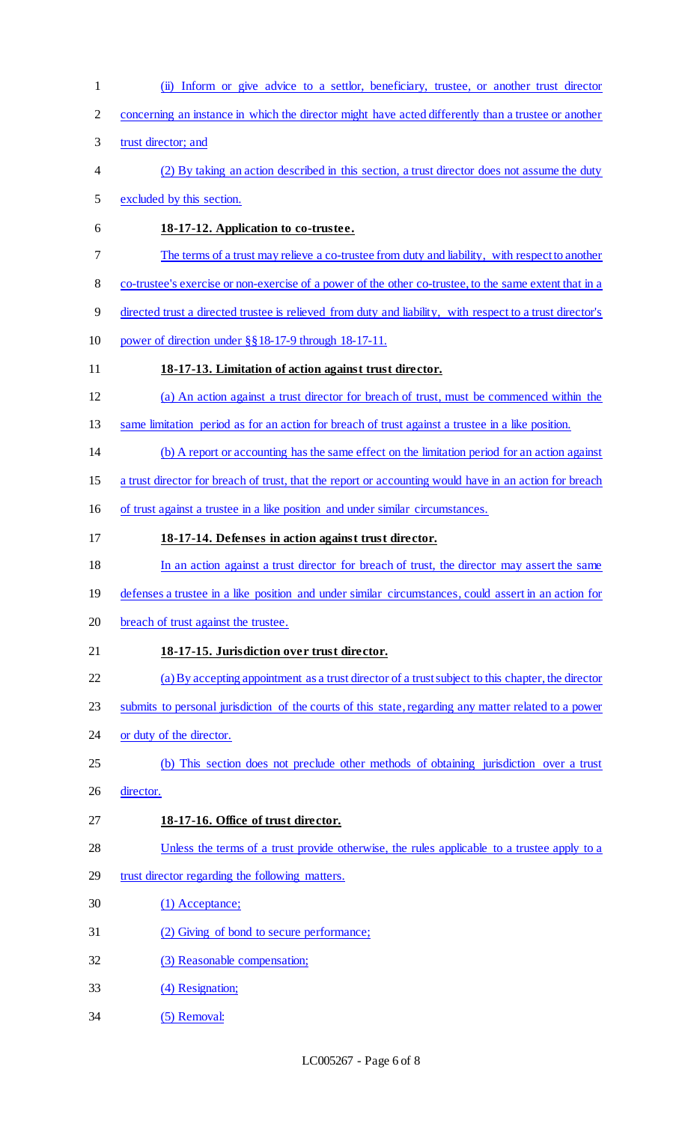(ii) Inform or give advice to a settlor, beneficiary, trustee, or another trust director concerning an instance in which the director might have acted differently than a trustee or another trust director; and (2) By taking an action described in this section, a trust director does not assume the duty excluded by this section. **18-17-12. Application to co-trustee.**  The terms of a trust may relieve a co-trustee from duty and liability, with respect to another co-trustee's exercise or non-exercise of a power of the other co-trustee, to the same extent that in a directed trust a directed trustee is relieved from duty and liability, with respect to a trust director's power of direction under §§18-17-9 through 18-17-11. **18-17-13. Limitation of action against trust director.**  (a) An action against a trust director for breach of trust, must be commenced within the same limitation period as for an action for breach of trust against a trustee in a like position. (b) A report or accounting has the same effect on the limitation period for an action against a trust director for breach of trust, that the report or accounting would have in an action for breach of trust against a trustee in a like position and under similar circumstances. **18-17-14. Defenses in action against trust director.**  In an action against a trust director for breach of trust, the director may assert the same defenses a trustee in a like position and under similar circumstances, could assert in an action for breach of trust against the trustee. **18-17-15. Jurisdiction over trust director.**  (a) By accepting appointment as a trust director of a trust subject to this chapter, the director 23 submits to personal jurisdiction of the courts of this state, regarding any matter related to a power 24 or duty of the director. (b) This section does not preclude other methods of obtaining jurisdiction over a trust director. **18-17-16. Office of trust director.**  Unless the terms of a trust provide otherwise, the rules applicable to a trustee apply to a trust director regarding the following matters. (1) Acceptance; (2) Giving of bond to secure performance; 32 (3) Reasonable compensation; (4) Resignation; (5) Removal: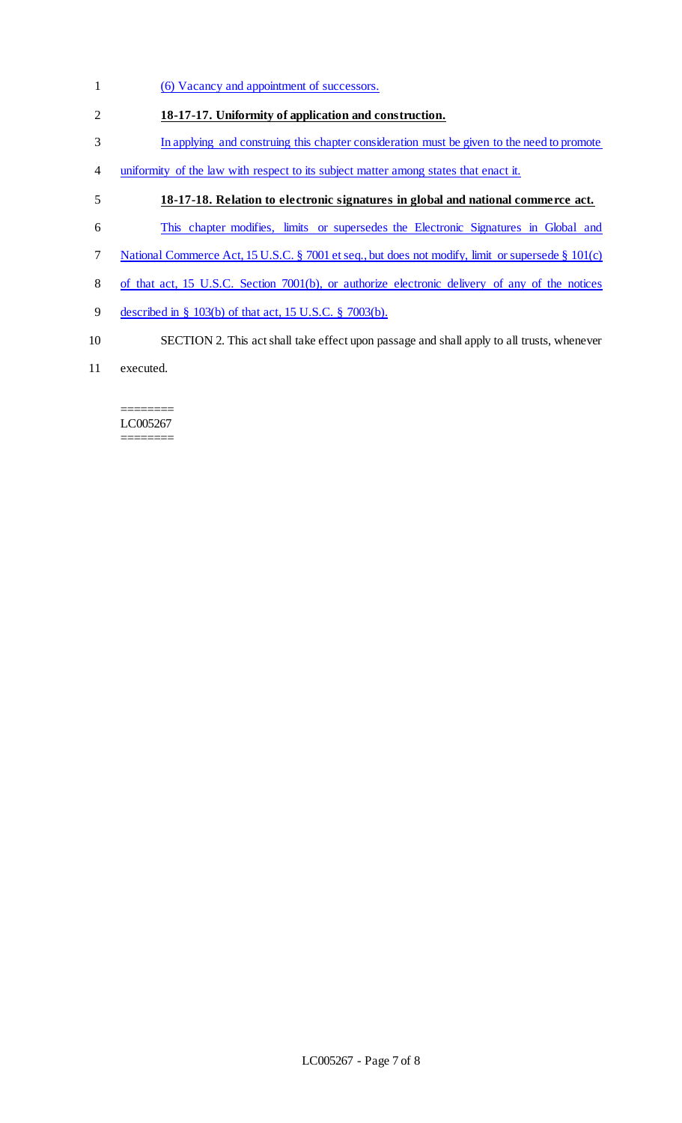- (6) Vacancy and appointment of successors.
- **18-17-17. Uniformity of application and construction.**
- In applying and construing this chapter consideration must be given to the need to promote
- uniformity of the law with respect to its subject matter among states that enact it.
- **18-17-18. Relation to electronic signatures in global and national commerce act.**
- This chapter modifies, limits or supersedes the Electronic Signatures in Global and
- National Commerce Act, 15 U.S.C. § 7001 et seq., but does not modify, limit or supersede § 101(c)
- of that act, 15 U.S.C. Section 7001(b), or authorize electronic delivery of any of the notices
- described in § 103(b) of that act, 15 U.S.C. § 7003(b).
- SECTION 2. This act shall take effect upon passage and shall apply to all trusts, whenever
- executed.

#### ======== LC005267 ========